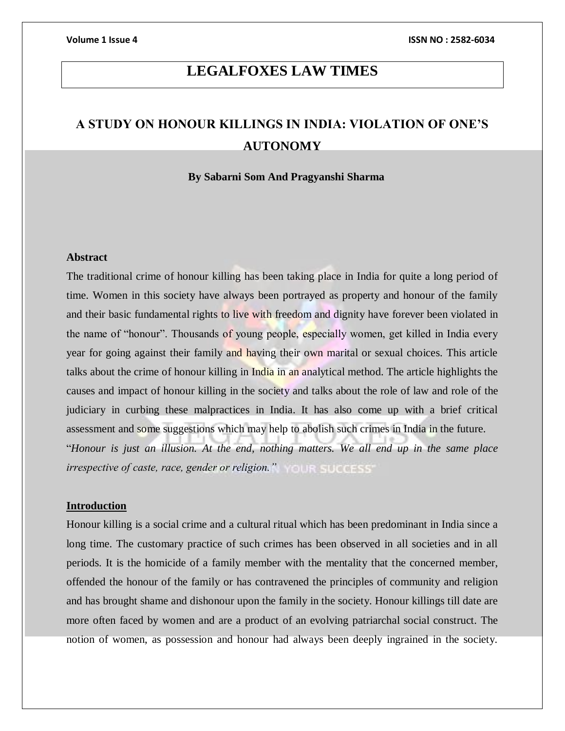## **LEGALFOXES LAW TIMES**

# **A STUDY ON HONOUR KILLINGS IN INDIA: VIOLATION OF ONE'S AUTONOMY**

#### **By Sabarni Som And Pragyanshi Sharma**

### **Abstract**

The traditional crime of honour killing has been taking place in India for quite a long period of time. Women in this society have always been portrayed as property and honour of the family and their basic fundamental rights to live with freedom and dignity have forever been violated in the name of "honour". Thousands of young people, especially women, get killed in India every year for going against their family and having their own marital or sexual choices. This article talks about the crime of honour killing in India in an analytical method. The article highlights the causes and impact of honour killing in the society and talks about the role of law and role of the judiciary in curbing these malpractices in India. It has also come up with a brief critical assessment and some suggestions which may help to abolish such crimes in India in the future. "*Honour is just an illusion. At the end, nothing matters. We all end up in the same place irrespective of caste, race, gender or religion."*

### **Introduction**

Honour killing is a social crime and a cultural ritual which has been predominant in India since a long time. The customary practice of such crimes has been observed in all societies and in all periods. It is the homicide of a family member with the mentality that the concerned member, offended the honour of the family or has contravened the principles of community and religion and has brought shame and dishonour upon the family in the society. Honour killings till date are more often faced by women and are a product of an evolving patriarchal social construct. The notion of women, as possession and honour had always been deeply ingrained in the society.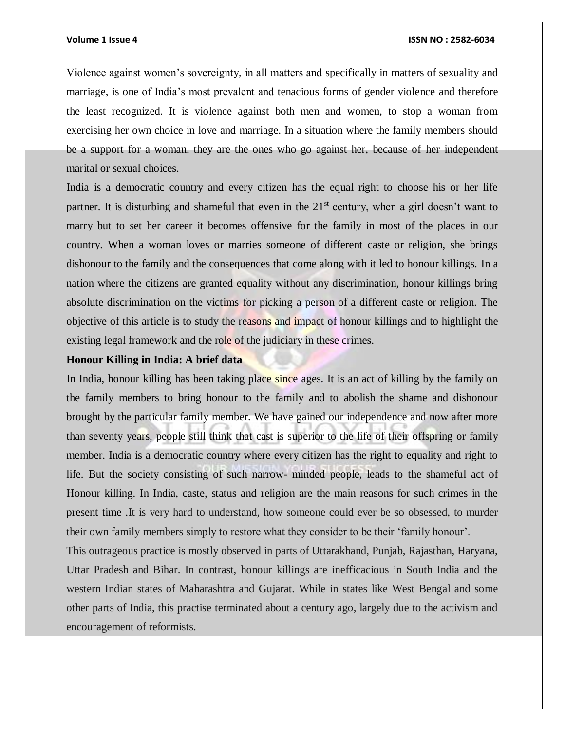Violence against women's sovereignty, in all matters and specifically in matters of sexuality and marriage, is one of India's most prevalent and tenacious forms of gender violence and therefore the least recognized. It is violence against both men and women, to stop a woman from exercising her own choice in love and marriage. In a situation where the family members should be a support for a woman, they are the ones who go against her, because of her independent marital or sexual choices.

India is a democratic country and every citizen has the equal right to choose his or her life partner. It is disturbing and shameful that even in the  $21<sup>st</sup>$  century, when a girl doesn't want to marry but to set her career it becomes offensive for the family in most of the places in our country. When a woman loves or marries someone of different caste or religion, she brings dishonour to the family and the consequences that come along with it led to honour killings. In a nation where the citizens are granted equality without any discrimination, honour killings bring absolute discrimination on the victims for picking a person of a different caste or religion. The objective of this article is to study the reasons and impact of honour killings and to highlight the existing legal framework and the role of the judiciary in these crimes.

#### **Honour Killing in India: A brief data**

In India, honour killing has been taking place since ages. It is an act of killing by the family on the family members to bring honour to the family and to abolish the shame and dishonour brought by the particular family member. We have gained our independence and now after more than seventy years, people still think that cast is superior to the life of their offspring or family member. India is a democratic country where every citizen has the right to equality and right to life. But the society consisting of such narrow- minded people, leads to the shameful act of Honour killing. In India, caste, status and religion are the main reasons for such crimes in the present time .It is very hard to understand, how someone could ever be so obsessed, to murder their own family members simply to restore what they consider to be their 'family honour'.

This outrageous practice is mostly observed in parts of Uttarakhand, Punjab, Rajasthan, Haryana, Uttar Pradesh and Bihar. In contrast, honour killings are inefficacious in South India and the western Indian states of Maharashtra and Gujarat. While in states like West Bengal and some other parts of India, this practise terminated about a century ago, largely due to the activism and encouragement of reformists.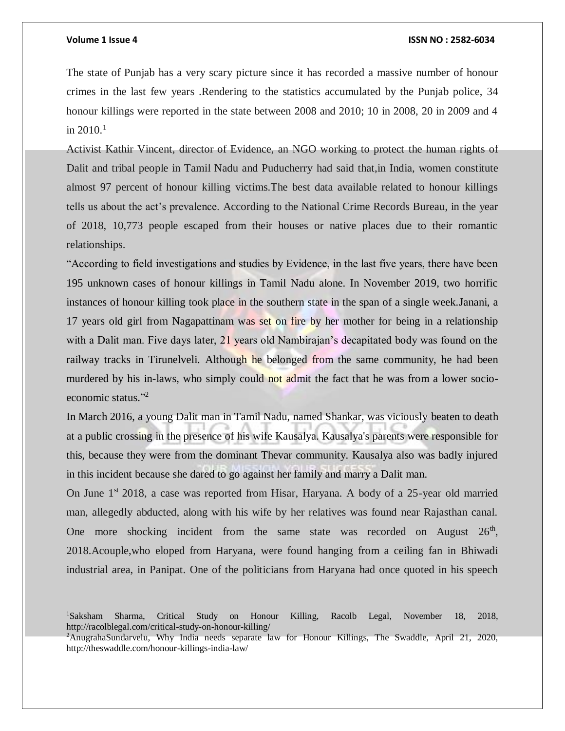$\overline{a}$ 

#### **Volume 1 Issue 4 ISSN NO : 2582-6034**

The state of Punjab has a very scary picture since it has recorded a massive number of honour crimes in the last few years .Rendering to the statistics accumulated by the Punjab police, 34 honour killings were reported in the state between 2008 and 2010; 10 in 2008, 20 in 2009 and 4 in  $2010^{1}$ 

Activist Kathir Vincent, director of Evidence, an NGO working to protect the human rights of Dalit and tribal people in Tamil Nadu and Puducherry had said that,in India, women constitute almost 97 percent of honour killing victims.The best data available related to honour killings tells us about the act's prevalence. According to the National Crime Records Bureau, in the year of 2018, 10,773 people escaped from their houses or native places due to their romantic relationships.

"According to field investigations and studies by Evidence, in the last five years, there have been 195 unknown cases of honour killings in Tamil Nadu alone. In November 2019, two horrific instances of honour killing took place in the southern state in the span of a single week.Janani, a 17 years old girl from Nagapattinam was set on fire by her mother for being in a relationship with a Dalit man. Five days later, 21 years old Nambirajan's decapitated body was found on the railway tracks in Tirunelveli. Although he belonged from the same community, he had been murdered by his in-laws, who simply could not admit the fact that he was from a lower socioeconomic status." 2

In March 2016, a young Dalit man in Tamil Nadu, named Shankar, was viciously beaten to death at a public crossing in the presence of his wife Kausalya. Kausalya's parents were responsible for this, because they were from the dominant Thevar community. Kausalya also was badly injured in this incident because she dared to go against her family and marry a Dalit man.

On June 1<sup>st</sup> 2018, a case was reported from Hisar, Haryana. A body of a 25-year old married man, allegedly abducted, along with his wife by her relatives was found near Rajasthan canal. One more shocking incident from the same state was recorded on August  $26<sup>th</sup>$ , 2018.Acouple,who eloped from Haryana, were found hanging from a ceiling fan in Bhiwadi industrial area, in Panipat. One of the politicians from Haryana had once quoted in his speech

<sup>1</sup>Saksham Sharma, Critical Study on Honour Killing, Racolb Legal, November 18, 2018, http://racolblegal.com/critical-study-on-honour-killing/

<sup>2</sup>AnugrahaSundarvelu, Why India needs separate law for Honour Killings, The Swaddle, April 21, 2020, http://theswaddle.com/honour-killings-india-law/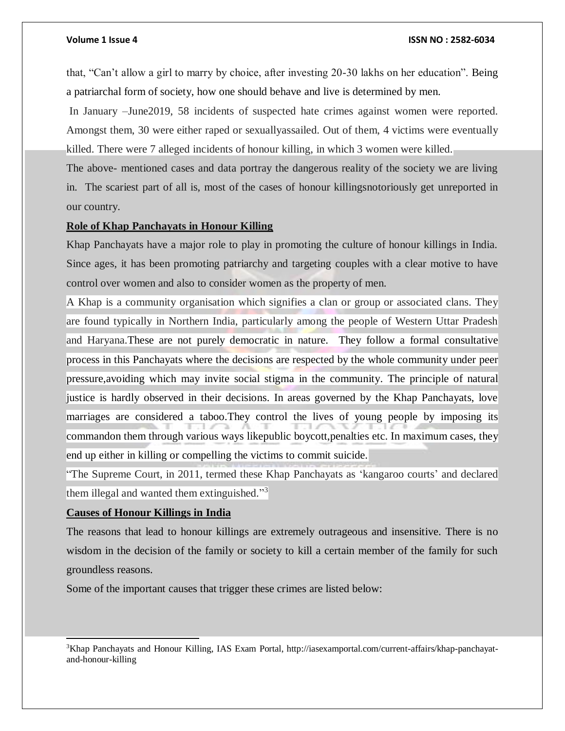that, "Can't allow a girl to marry by choice, after investing 20-30 lakhs on her education". Being a patriarchal form of society, how one should behave and live is determined by men.

In January –June2019, 58 incidents of suspected hate crimes against women were reported. Amongst them, 30 were either raped or sexuallyassailed. Out of them, 4 victims were eventually killed. There were 7 alleged incidents of honour killing, in which 3 women were killed.

The above- mentioned cases and data portray the dangerous reality of the society we are living in. The scariest part of all is, most of the cases of honour killingsnotoriously get unreported in our country.

### **Role of Khap Panchayats in Honour Killing**

Khap Panchayats have a major role to play in promoting the culture of honour killings in India. Since ages, it has been promoting patriarchy and targeting couples with a clear motive to have control over women and also to consider women as the property of men.

A Khap is a community organisation which signifies a clan or group or associated clans. They are found typically in Northern India, particularly among the people of Western Uttar Pradesh and Haryana.These are not purely democratic in nature. They follow a formal consultative process in this Panchayats where the decisions are respected by the whole community under peer pressure,avoiding which may invite social stigma in the community. The principle of natural justice is hardly observed in their decisions. In areas governed by the Khap Panchayats, love marriages are considered a taboo.They control the lives of young people by imposing its commandon them through various ways likepublic boycott,penalties etc. In maximum cases, they end up either in killing or compelling the victims to commit suicide.

"The Supreme Court, in 2011, termed these Khap Panchayats as 'kangaroo courts' and declared them illegal and wanted them extinguished."<sup>3</sup>

### **Causes of Honour Killings in India**

l

The reasons that lead to honour killings are extremely outrageous and insensitive. There is no wisdom in the decision of the family or society to kill a certain member of the family for such groundless reasons.

Some of the important causes that trigger these crimes are listed below:

3Khap Panchayats and Honour Killing, IAS Exam Portal, http://iasexamportal.com/current-affairs/khap-panchayatand-honour-killing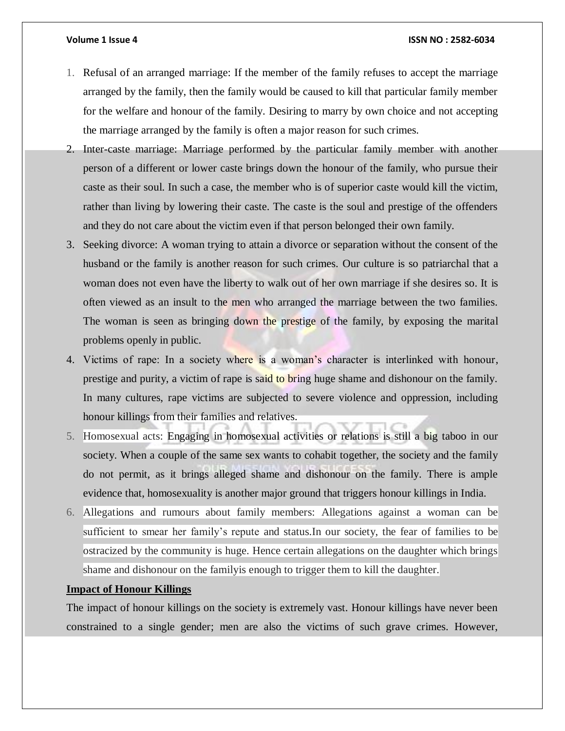- 1. Refusal of an arranged marriage: If the member of the family refuses to accept the marriage arranged by the family, then the family would be caused to kill that particular family member for the welfare and honour of the family. Desiring to marry by own choice and not accepting the marriage arranged by the family is often a major reason for such crimes.
- 2. Inter-caste marriage: Marriage performed by the particular family member with another person of a different or lower caste brings down the honour of the family, who pursue their caste as their soul. In such a case, the member who is of superior caste would kill the victim, rather than living by lowering their caste. The caste is the soul and prestige of the offenders and they do not care about the victim even if that person belonged their own family.
- 3. Seeking divorce: A woman trying to attain a divorce or separation without the consent of the husband or the family is another reason for such crimes. Our culture is so patriarchal that a woman does not even have the liberty to walk out of her own marriage if she desires so. It is often viewed as an insult to the men who arranged the marriage between the two families. The woman is seen as bringing down the prestige of the family, by exposing the marital problems openly in public.
- 4. Victims of rape: In a society where is a woman's character is interlinked with honour, prestige and purity, a victim of rape is said to bring huge shame and dishonour on the family. In many cultures, rape victims are subjected to severe violence and oppression, including honour killings from their families and relatives.
- 5. Homosexual acts: Engaging in homosexual activities or relations is still a big taboo in our society. When a couple of the same sex wants to cohabit together, the society and the family do not permit, as it brings alleged shame and dishonour on the family. There is ample evidence that, homosexuality is another major ground that triggers honour killings in India.
- 6. Allegations and rumours about family members: Allegations against a woman can be sufficient to smear her family's repute and status.In our society, the fear of families to be ostracized by the community is huge. Hence certain allegations on the daughter which brings shame and dishonour on the familyis enough to trigger them to kill the daughter.

### **Impact of Honour Killings**

The impact of honour killings on the society is extremely vast. Honour killings have never been constrained to a single gender; men are also the victims of such grave crimes. However,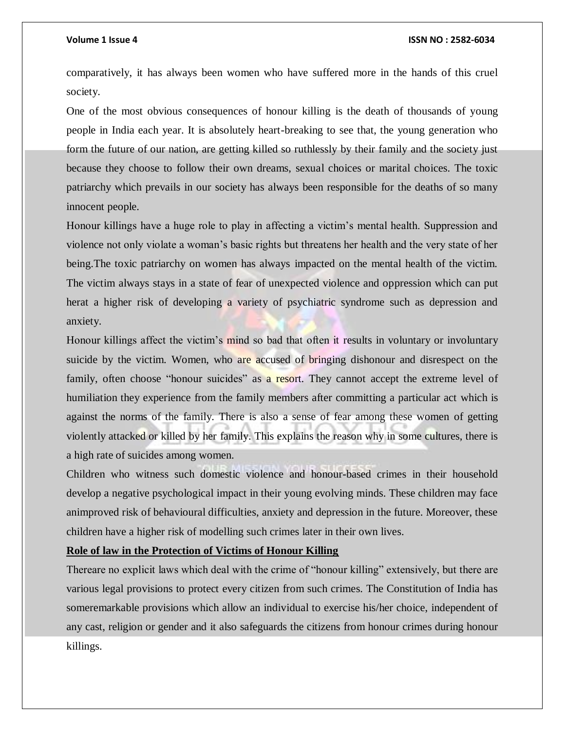comparatively, it has always been women who have suffered more in the hands of this cruel society.

One of the most obvious consequences of honour killing is the death of thousands of young people in India each year. It is absolutely heart-breaking to see that, the young generation who form the future of our nation, are getting killed so ruthlessly by their family and the society just because they choose to follow their own dreams, sexual choices or marital choices. The toxic patriarchy which prevails in our society has always been responsible for the deaths of so many innocent people.

Honour killings have a huge role to play in affecting a victim's mental health. Suppression and violence not only violate a woman's basic rights but threatens her health and the very state of her being.The toxic patriarchy on women has always impacted on the mental health of the victim. The victim always stays in a state of fear of unexpected violence and oppression which can put herat a higher risk of developing a variety of psychiatric syndrome such as depression and anxiety.

Honour killings affect the victim's mind so bad that often it results in voluntary or involuntary suicide by the victim. Women, who are accused of bringing dishonour and disrespect on the family, often choose "honour suicides" as a resort. They cannot accept the extreme level of humiliation they experience from the family members after committing a particular act which is against the norms of the family. There is also a sense of fear among these women of getting violently attacked or killed by her family. This explains the reason why in some cultures, there is a high rate of suicides among women.

Children who witness such domestic violence and honour-based crimes in their household develop a negative psychological impact in their young evolving minds. These children may face animproved risk of behavioural difficulties, anxiety and depression in the future. Moreover, these children have a higher risk of modelling such crimes later in their own lives.

### **Role of law in the Protection of Victims of Honour Killing**

Thereare no explicit laws which deal with the crime of "honour killing" extensively, but there are various legal provisions to protect every citizen from such crimes. The Constitution of India has someremarkable provisions which allow an individual to exercise his/her choice, independent of any cast, religion or gender and it also safeguards the citizens from honour crimes during honour killings.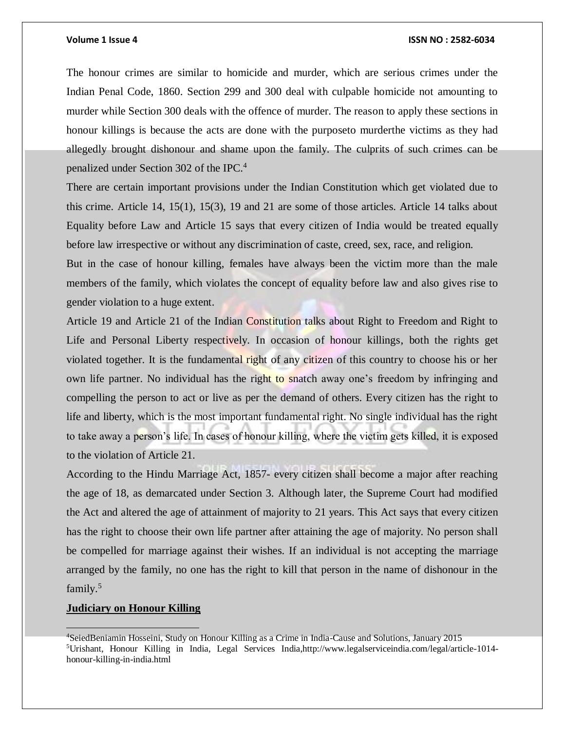The honour crimes are similar to homicide and murder, which are serious crimes under the Indian Penal Code, 1860. Section 299 and 300 deal with culpable homicide not amounting to murder while Section 300 deals with the offence of murder. The reason to apply these sections in honour killings is because the acts are done with the purposeto murderthe victims as they had allegedly brought dishonour and shame upon the family. The culprits of such crimes can be penalized under Section 302 of the IPC.<sup>4</sup>

There are certain important provisions under the Indian Constitution which get violated due to this crime. Article 14, 15(1), 15(3), 19 and 21 are some of those articles. Article 14 talks about Equality before Law and Article 15 says that every citizen of India would be treated equally before law irrespective or without any discrimination of caste, creed, sex, race, and religion.

But in the case of honour killing, females have always been the victim more than the male members of the family, which violates the concept of equality before law and also gives rise to gender violation to a huge extent.

Article 19 and Article 21 of the Indian Constitution talks about Right to Freedom and Right to Life and Personal Liberty respectively. In occasion of honour killings, both the rights get violated together. It is the fundamental right of any citizen of this country to choose his or her own life partner. No individual has the right to snatch away one's freedom by infringing and compelling the person to act or live as per the demand of others. Every citizen has the right to life and liberty, which is the most important fundamental right. No single individual has the right to take away a person's life. In cases of honour killing, where the victim gets killed, it is exposed to the violation of Article 21.

According to the Hindu Marriage Act, 1857- every citizen shall become a major after reaching the age of 18, as demarcated under Section 3. Although later, the Supreme Court had modified the Act and altered the age of attainment of majority to 21 years. This Act says that every citizen has the right to choose their own life partner after attaining the age of majority. No person shall be compelled for marriage against their wishes. If an individual is not accepting the marriage arranged by the family, no one has the right to kill that person in the name of dishonour in the family.<sup>5</sup>

### **Judiciary on Honour Killing**

<sup>4</sup>SeiedBeniamin Hosseini, Study on Honour Killing as a Crime in India-Cause and Solutions, January 2015 <sup>5</sup>Urishant, Honour Killing in India, Legal Services India,http://www.legalserviceindia.com/legal/article-1014 honour-killing-in-india.html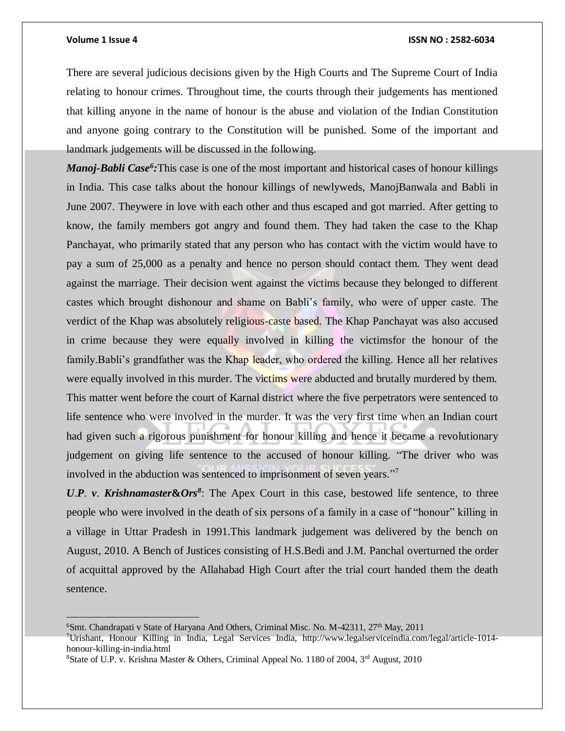#### **Volume 1 Issue 4 ISSN NO : 2582-6034**

There are several judicious decisions given by the High Courts and The Supreme Court of India relating to honour crimes. Throughout time, the courts through their judgements has mentioned that killing anyone in the name of honour is the abuse and violation of the Indian Constitution and anyone going contrary to the Constitution will be punished. Some of the important and landmark judgements will be discussed in the following.

*Manoj-Babli Case<sup>6</sup> :*This case is one of the most important and historical cases of honour killings in India. This case talks about the honour killings of newlyweds, ManojBanwala and Babli in June 2007. Theywere in love with each other and thus escaped and got married. After getting to know, the family members got angry and found them. They had taken the case to the Khap Panchayat, who primarily stated that any person who has contact with the victim would have to pay a sum of 25,000 as a penalty and hence no person should contact them. They went dead against the marriage. Their decision went against the victims because they belonged to different castes which brought dishonour and shame on Babli's family, who were of upper caste. The verdict of the Khap was absolutely religious-caste based. The Khap Panchayat was also accused in crime because they were equally involved in killing the victimsfor the honour of the family.Babli's grandfather was the Khap leader, who ordered the killing. Hence all her relatives were equally involved in this murder. The victims were abducted and brutally murdered by them. This matter went before the court of Karnal district where the five perpetrators were sentenced to life sentence who were involved in the murder. It was the very first time when an Indian court had given such a rigorous punishment for honour killing and hence it became a revolutionary judgement on giving life sentence to the accused of honour killing. "The driver who was involved in the abduction was sentenced to imprisonment of seven years."<sup>7</sup>

*U*.*P*. *v*. *Krishnamaster***&***Ors<sup>8</sup>* : The Apex Court in this case, bestowed life sentence, to three people who were involved in the death of six persons of a family in a case of "honour" killing in a village in Uttar Pradesh in 1991.This landmark judgement was delivered by the bench on August, 2010. A Bench of Justices consisting of H.S.Bedi and J.M. Panchal overturned the order of acquittal approved by the Allahabad High Court after the trial court handed them the death sentence.

<sup>&</sup>lt;sup>6</sup>Smt. Chandrapati v State of Haryana And Others, Criminal Misc. No. M-42311,  $27<sup>th</sup>$  May,  $2011$ 

<sup>7</sup>Urishant, Honour Killing in India, Legal Services India, http://www.legalserviceindia.com/legal/article-1014 honour-killing-in-india.html

<sup>&</sup>lt;sup>8</sup>State of U.P. v. Krishna Master & Others, Criminal Appeal No. 1180 of 2004, 3<sup>rd</sup> August, 2010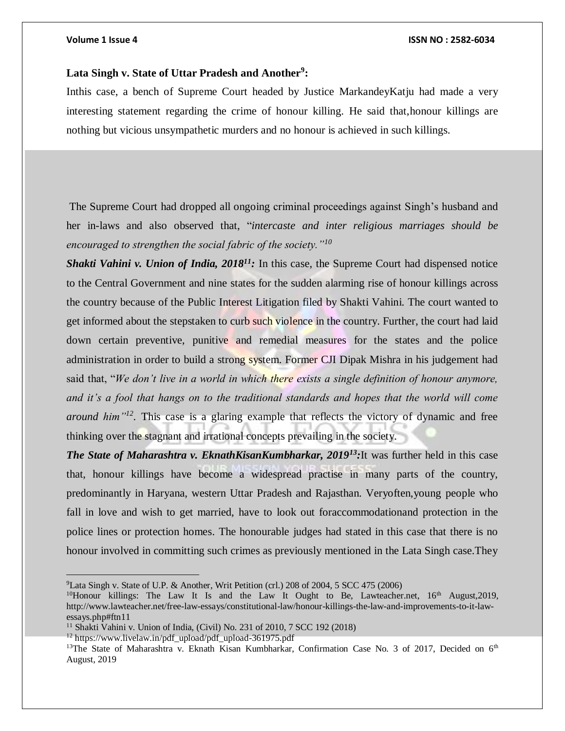### **Lata Singh v. State of Uttar Pradesh and Another<sup>9</sup> :**

Inthis case, a bench of Supreme Court headed by Justice MarkandeyKatju had made a very interesting statement regarding the crime of honour killing. He said that,honour killings are nothing but vicious unsympathetic murders and no honour is achieved in such killings.

The Supreme Court had dropped all ongoing criminal proceedings against Singh's husband and her in-laws and also observed that, "*intercaste and inter religious marriages should be encouraged to strengthen the social fabric of the society."<sup>10</sup>*

*Shakti Vahini v. Union of India, 2018<sup>11</sup>:* In this case, the Supreme Court had dispensed notice to the Central Government and nine states for the sudden alarming rise of honour killings across the country because of the Public Interest Litigation filed by Shakti Vahini. The court wanted to get informed about the stepstaken to curb such violence in the country. Further, the court had laid down certain preventive, punitive and remedial measures for the states and the police administration in order to build a strong system. Former CJI Dipak Mishra in his judgement had said that, "*We don't live in a world in which there exists a single definition of honour anymore, and it's a fool that hangs on to the traditional standards and hopes that the world will come around him"<sup>12</sup> .* This case is a glaring example that reflects the victory of dynamic and free thinking over the stagnant and irrational concepts prevailing in the society.

*The State of Maharashtra v. EknathKisanKumbharkar, 2019<sup>13</sup>:*It was further held in this case that, honour killings have become a widespread practise in many parts of the country, predominantly in Haryana, western Uttar Pradesh and Rajasthan. Veryoften,young people who fall in love and wish to get married, have to look out foraccommodationand protection in the police lines or protection homes. The honourable judges had stated in this case that there is no honour involved in committing such crimes as previously mentioned in the Lata Singh case.They

<sup>12</sup> https://www.livelaw.in/pdf\_upload/pdf\_upload-361975.pdf

<sup>&</sup>lt;sup>9</sup>Lata Singh v. State of U.P. & Another, Writ Petition (crl.) 208 of 2004, 5 SCC 475 (2006)

<sup>&</sup>lt;sup>10</sup>Honour killings: The Law It Is and the Law It Ought to Be, Lawteacher.net,  $16<sup>th</sup>$  August, 2019, http://www.lawteacher.net/free-law-essays/constitutional-law/honour-killings-the-law-and-improvements-to-it-lawessays.php#ftn11

<sup>&</sup>lt;sup>11</sup> Shakti Vahini v. Union of India, (Civil) No. 231 of 2010, 7 SCC 192 (2018)

<sup>&</sup>lt;sup>13</sup>The State of Maharashtra v. Eknath Kisan Kumbharkar, Confirmation Case No. 3 of 2017, Decided on 6<sup>th</sup> August, 2019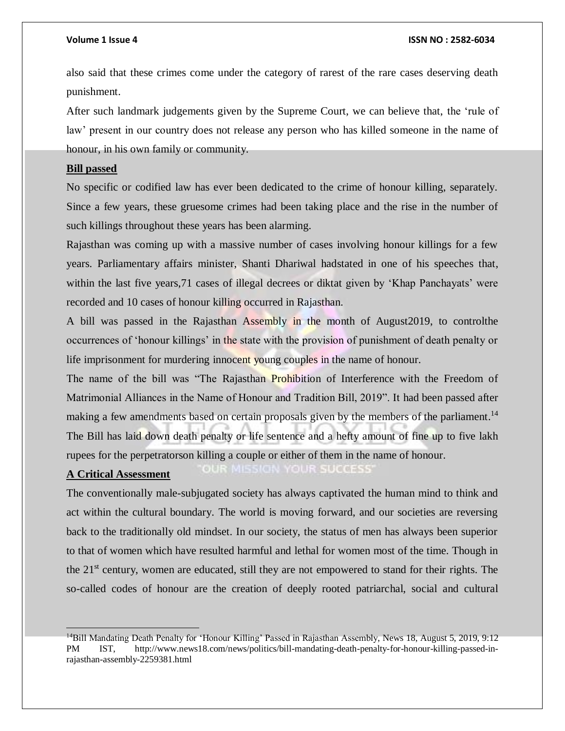also said that these crimes come under the category of rarest of the rare cases deserving death punishment.

After such landmark judgements given by the Supreme Court, we can believe that, the 'rule of law' present in our country does not release any person who has killed someone in the name of honour, in his own family or community.

### **Bill passed**

No specific or codified law has ever been dedicated to the crime of honour killing, separately. Since a few years, these gruesome crimes had been taking place and the rise in the number of such killings throughout these years has been alarming.

Rajasthan was coming up with a massive number of cases involving honour killings for a few years. Parliamentary affairs minister, Shanti Dhariwal hadstated in one of his speeches that, within the last five years, 71 cases of illegal decrees or diktat given by 'Khap Panchayats' were recorded and 10 cases of honour killing occurred in Rajasthan.

A bill was passed in the Rajasthan Assembly in the month of August2019, to controlthe occurrences of 'honour killings' in the state with the provision of punishment of death penalty or life imprisonment for murdering innocent young couples in the name of honour.

The name of the bill was "The Rajasthan Prohibition of Interference with the Freedom of Matrimonial Alliances in the Name of Honour and Tradition Bill, 2019". It had been passed after making a few amendments based on certain proposals given by the members of the parliament.<sup>14</sup> The Bill has laid down death penalty or life sentence and a hefty amount of fine up to five lakh rupees for the perpetratorson killing a couple or either of them in the name of honour. **OUR SUCCESS ONR MIS** 

### **A Critical Assessment**

The conventionally male-subjugated society has always captivated the human mind to think and act within the cultural boundary. The world is moving forward, and our societies are reversing back to the traditionally old mindset. In our society, the status of men has always been superior to that of women which have resulted harmful and lethal for women most of the time. Though in the  $21<sup>st</sup>$  century, women are educated, still they are not empowered to stand for their rights. The so-called codes of honour are the creation of deeply rooted patriarchal, social and cultural

<sup>14</sup>Bill Mandating Death Penalty for 'Honour Killing' Passed in Rajasthan Assembly, News 18, August 5, 2019, 9:12 PM IST, http://www.news18.com/news/politics/bill-mandating-death-penalty-for-honour-killing-passed-inrajasthan-assembly-2259381.html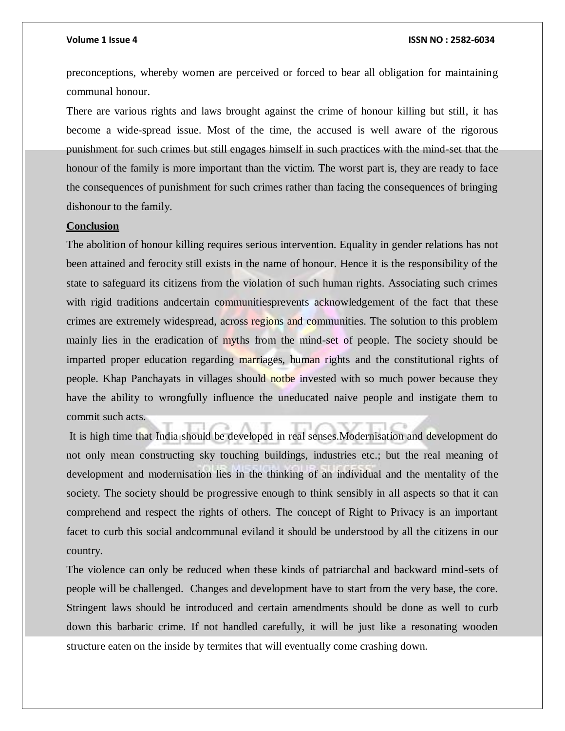preconceptions, whereby women are perceived or forced to bear all obligation for maintaining communal honour.

There are various rights and laws brought against the crime of honour killing but still, it has become a wide-spread issue. Most of the time, the accused is well aware of the rigorous punishment for such crimes but still engages himself in such practices with the mind-set that the honour of the family is more important than the victim. The worst part is, they are ready to face the consequences of punishment for such crimes rather than facing the consequences of bringing dishonour to the family.

### **Conclusion**

The abolition of honour killing requires serious intervention. Equality in gender relations has not been attained and ferocity still exists in the name of honour. Hence it is the responsibility of the state to safeguard its citizens from the violation of such human rights. Associating such crimes with rigid traditions andcertain communitiesprevents acknowledgement of the fact that these crimes are extremely widespread, across regions and communities. The solution to this problem mainly lies in the eradication of myths from the mind-set of people. The society should be imparted proper education regarding marriages, human rights and the constitutional rights of people. Khap Panchayats in villages should notbe invested with so much power because they have the ability to wrongfully influence the uneducated naive people and instigate them to commit such acts.

It is high time that India should be developed in real senses.Modernisation and development do not only mean constructing sky touching buildings, industries etc.; but the real meaning of development and modernisation lies in the thinking of an individual and the mentality of the society. The society should be progressive enough to think sensibly in all aspects so that it can comprehend and respect the rights of others. The concept of Right to Privacy is an important facet to curb this social andcommunal eviland it should be understood by all the citizens in our country.

The violence can only be reduced when these kinds of patriarchal and backward mind-sets of people will be challenged. Changes and development have to start from the very base, the core. Stringent laws should be introduced and certain amendments should be done as well to curb down this barbaric crime. If not handled carefully, it will be just like a resonating wooden structure eaten on the inside by termites that will eventually come crashing down.